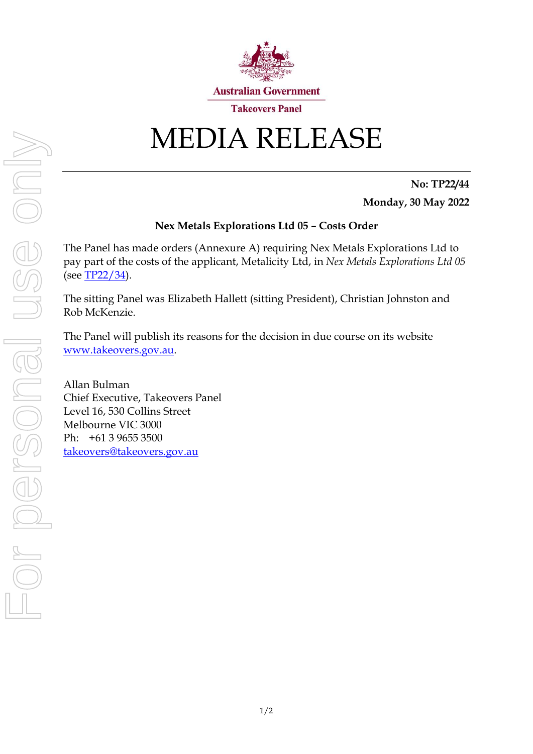

# MEDIA RELEASE

**No: TP22/44 Monday, 30 May 2022**

## **Nex Metals Explorations Ltd 05 – Costs Order**

The Panel has made orders (Annexure A) requiring Nex Metals Explorations Ltd to pay part of the costs of the applicant, Metalicity Ltd, in *Nex Metals Explorations Ltd 05* (see [TP22/34\)](https://www.takeovers.gov.au/content/DisplayDoc.aspx?doc=media_releases/2022/034.htm&pageID=&Year=).

The sitting Panel was Elizabeth Hallett (sitting President), Christian Johnston and Rob McKenzie.

The Panel will publish its reasons for the decision in due course on its website [www.takeovers.gov.au.](http://www.takeovers.gov.au/)

Allan Bulman Chief Executive, Takeovers Panel Level 16, 530 Collins Street Melbourne VIC 3000 Ph: +61 3 9655 3500 [takeovers@takeovers.gov.au](mailto:takeovers@takeovers.gov.au)